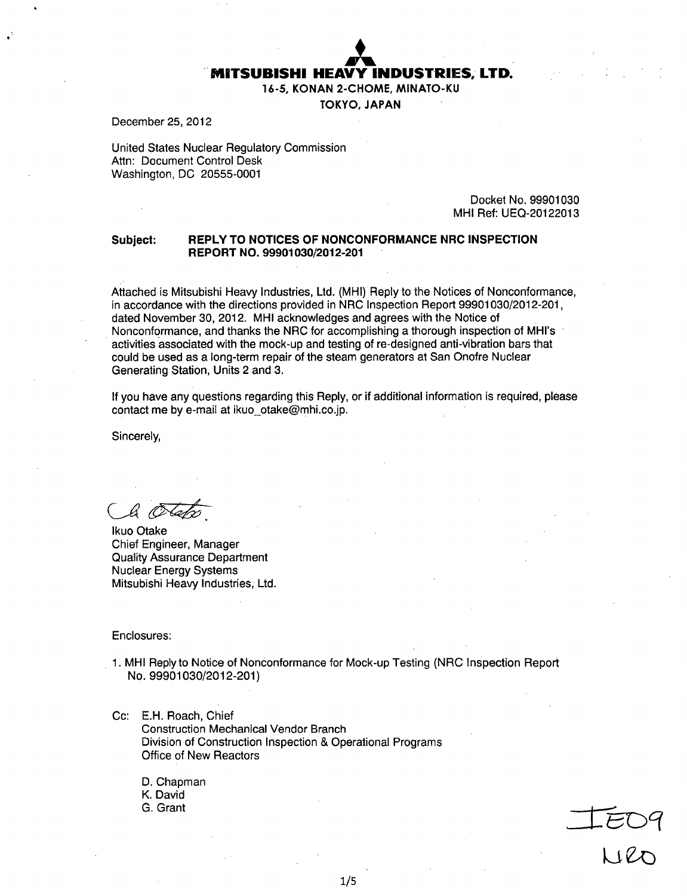

16-5, KONAN 2-CHOME, MINATO-KU

TOKYO, JAPAN

December 25, 2012

United States Nuclear Regulatory Commission Attn: Document Control Desk Washington, DC 20555-0001

> Docket No. 99901030 MHI Ref: UEQ-20122013

#### Subject: REPLY TO **NOTICES** OF **NONCONFORMANCE NRC INSPECTION** REPORT NO. 99901030/2012-201

Attached is Mitsubishi Heavy Industries, Ltd. (MHI) Reply to the Notices of Nonconformance, in accordance with the directions provided in NRC Inspection Report 99901030/2012-201, dated November 30, 2012. MHI acknowledges and agrees with the Notice of Nonconformance, and thanks the NRC for accomplishing a thorough inspection of MHI's activities associated with the mock-up and testing of re-designed anti-vibration bars that could be used as a long-term repair of the steam generators at San Onofre Nuclear Generating Station, Units 2 and 3.

If you have any questions regarding this Reply, or if additional information is required, please contact me by e-mail at ikuo otake@mhi.co.jp.

Sincerely,

bi (C

lkuo Otake Chief Engineer, Manager Quality Assurance Department Nuclear Energy Systems Mitsubishi Heavy Industries, Ltd.

Enclosures:

- 1. MHI Reply to Notice of Nonconformance for Mock-up Testing (NRC Inspection Report No. 99901030/2012-201)
- Cc: E.H. Roach, Chief Construction Mechanical Vendor Branch Division of Construction Inspection & Operational Programs Office of New Reactors

D. Chapman K. David G. Grant

$$
\frac{1}{\sqrt{2}}\frac{1}{\sqrt{2}}\frac{1}{\sqrt{2}}\frac{1}{\sqrt{2}}\frac{1}{\sqrt{2}}\frac{1}{\sqrt{2}}\frac{1}{\sqrt{2}}\frac{1}{\sqrt{2}}\frac{1}{\sqrt{2}}\frac{1}{\sqrt{2}}\frac{1}{\sqrt{2}}\frac{1}{\sqrt{2}}\frac{1}{\sqrt{2}}\frac{1}{\sqrt{2}}\frac{1}{\sqrt{2}}\frac{1}{\sqrt{2}}\frac{1}{\sqrt{2}}\frac{1}{\sqrt{2}}\frac{1}{\sqrt{2}}\frac{1}{\sqrt{2}}\frac{1}{\sqrt{2}}\frac{1}{\sqrt{2}}\frac{1}{\sqrt{2}}\frac{1}{\sqrt{2}}\frac{1}{\sqrt{2}}\frac{1}{\sqrt{2}}\frac{1}{\sqrt{2}}\frac{1}{\sqrt{2}}\frac{1}{\sqrt{2}}\frac{1}{\sqrt{2}}\frac{1}{\sqrt{2}}\frac{1}{\sqrt{2}}\frac{1}{\sqrt{2}}\frac{1}{\sqrt{2}}\frac{1}{\sqrt{2}}\frac{1}{\sqrt{2}}\frac{1}{\sqrt{2}}\frac{1}{\sqrt{2}}\frac{1}{\sqrt{2}}\frac{1}{\sqrt{2}}\frac{1}{\sqrt{2}}\frac{1}{\sqrt{2}}\frac{1}{\sqrt{2}}\frac{1}{\sqrt{2}}\frac{1}{\sqrt{2}}\frac{1}{\sqrt{2}}\frac{1}{\sqrt{2}}\frac{1}{\sqrt{2}}\frac{1}{\sqrt{2}}\frac{1}{\sqrt{2}}\frac{1}{\sqrt{2}}\frac{1}{\sqrt{2}}\frac{1}{\sqrt{2}}\frac{1}{\sqrt{2}}\frac{1}{\sqrt{2}}\frac{1}{\sqrt{2}}\frac{1}{\sqrt{2}}\frac{1}{\sqrt{2}}\frac{1}{\sqrt{2}}\frac{1}{\sqrt{2}}\frac{1}{\sqrt{2}}\frac{1}{\sqrt{2}}\frac{1}{\sqrt{2}}\frac{1}{\sqrt{2}}\frac{1}{\sqrt{2}}\frac{1}{\sqrt{2}}\frac{1}{\sqrt{2}}\frac{1}{\sqrt{2}}\frac{1}{\sqrt{2}}\frac{1}{\sqrt{2}}\frac{1}{\sqrt{2}}\frac{1}{\sqrt{2}}\frac{1}{\sqrt{2}}\frac{1}{\sqrt{2}}\frac{1}{\sqrt{2}}\frac{1}{\sqrt{2}}
$$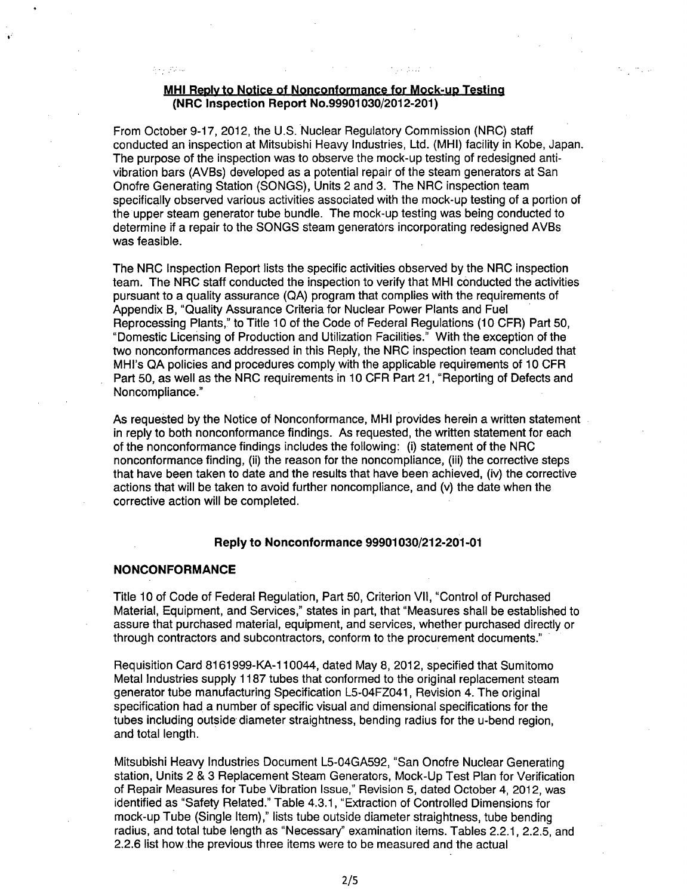## MHI **Reolvto** Notice of Nonconformance for Mock-uD Testing (NRC Inspection Report No.99901030/2012-201)

From October 9-17, 2012, the U.S. Nuclear Regulatory Commission (NRC) staff conducted an inspection at Mitsubishi Heavy Industries, Ltd. (MHI) facility in Kobe, Japan. The purpose of the inspection was to observe the mock-up testing of redesigned antivibration bars (AVBs) developed as a potential repair of the steam generators at San Onofre Generating Station (SONGS), Units 2 and 3. The NRC inspection team specifically observed various activities associated with the mock-up testing of a portion of the upper steam generator tube bundle. The mock-up testing was being conducted to determine if a repair to the SONGS steam generators incorporating redesigned AVBs was feasible.

The NRC Inspection Report lists the specific activities observed by the NRC inspection team. The NRC staff conducted the inspection to verify that MHI conducted the activities pursuant to a quality assurance (QA) program that complies with the requirements of Appendix B, "Quality Assurance Criteria for Nuclear Power Plants and Fuel Reprocessing Plants," to Title 10 of the Code of Federal Regulations (10 CFR) Part 50, "Domestic Licensing of Production and Utilization Facilities." With the exception of the two nonconformances addressed in this Reply, the NRC inspection team concluded that MHI's QA policies and procedures comply with the applicable requirements of 10 CFR Part 50, as well as the NRC requirements in 10 CFR Part 21, "Reporting of Defects and Noncompliance."

As requested by the Notice of Nonconformance, MHI provides herein a written statement in reply to both nonconformance findings. As requested, the written statement for each of the nonconformance findings includes the following: (i) statement of the NRC nonconformance finding, (ii) the reason for the noncompliance, (iii) the corrective steps that have been taken to date and the results that have been achieved, (iv) the corrective actions that will be taken to avoid further noncompliance, and (v) the date when the corrective action will be completed.

#### Reply to Nonconformance **99901030/212-201 -01**

#### **NONCONFORMANCE**

 $\mathcal{I}_{\mathcal{A}}(\mathcal{A})=\mathcal{I}(\mathcal{I}_{\mathcal{A}})$ 

Title 10 of Code of Federal Regulation, Part 50, Criterion VII, "Control of Purchased Material, Equipment, and Services," states in part, that "Measures shall be established to assure that purchased material, equipment, and services, whether purchased directly or through contractors and subcontractors, conform to the procurement documents."

Requisition Card 8161999-KA-1 10044, dated May 8, 2012, specified that Sumitomo Metal Industries supply 1187 tubes that conformed to the original replacement steam generator tube manufacturing Specification L5-04FZ041, Revision 4. The original specification had a number of specific visual and dimensional specifications for the tubes including outside diameter straightness, bending radius for the u-bend region, and total length.

Mitsubishi Heavy Industries Document L5-04GA592, "San Onofre Nuclear Generating station, Units 2 & 3 Replacement Steam Generators, Mock-Up Test Plan for Verification of Repair Measures for Tube Vibration Issue," Revision 5, dated October 4, 2012, was identified as "Safety Related." Table 4.3.1, "Extraction of Controlled Dimensions for mock-up Tube (Single Item)," lists tube outside diameter straightness, tube bending radius, and total tube length as "Necessary" examination items. Tables 2.2.1, 2.2.5, and 2.2.6 list how the previous three items were to be measured and the actual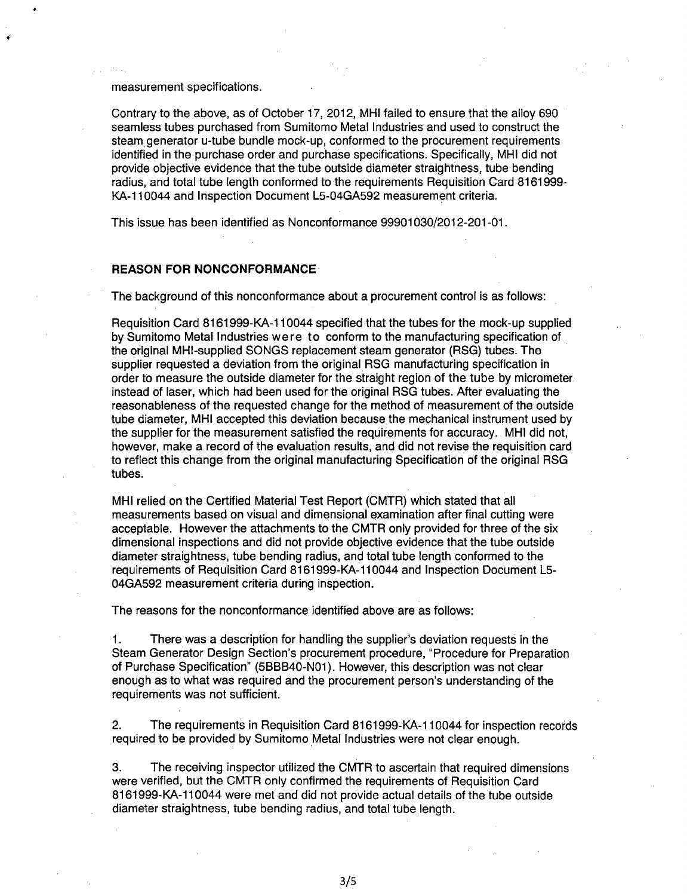measurement specifications.

Contrary to the above, as of October 17, 2012, MHI failed to ensure that the alloy 690 seamless tubes purchased from Sumitomo Metal Industries and used to construct the steam generator u-tube bundle mock-up, conformed to the procurement requirements identified in the purchase order and purchase specifications. Specifically, MHI did not provide objective evidence that the tube outside diameter straightness, tube bending radius, and total tube length conformed to the requirements Requisition Card 8161999- KA-1 10044 and Inspection Document L5-04GA592 measurement criteria.

This issue has been identified as Nonconformance 99901030/2012-201-01.

#### REASON FOR NONCONFORMANCE

The background of this nonconformance about a procurement control is as follows:

Requisition Card 8161999-KA-1 10044 specified that the tubes for the mock-up supplied by Sumitomo Metal Industries were to conform to the manufacturing specification of the original MHI-supplied SONGS replacement steam generator (RSG) tubes. The supplier requested a deviation from the original RSG manufacturing specification in order to measure the outside diameter for the straight region of the tube by micrometer instead of laser, which had been used for the original RSG tubes. After evaluating the reasonableness of the requested change for the method of measurement of the outside tube diameter, MHI accepted this deviation because the mechanical instrument used by the supplier for the measurement satisfied the requirements for accuracy. MHI did not, however, make a record of the evaluation results, and did not revise the requisition card to reflect this change from the original manufacturing Specification of the original RSG tubes.

MHI relied on the Certified Material Test Report (CMTR) which stated that all measurements based on visual and dimensional examination after final cutting were acceptable. However the attachments to the CMTR only provided for three of the six dimensional inspections and did not provide objective evidence that the tube outside diameter straightness, tube bending radius, and total tube length conformed to the requirements of Requisition Card 8161999-KA-110044 and Inspection Document L5- 04GA592 measurement criteria during inspection.

The reasons for the nonconformance identified above are as follows:

1. There was a description for handling the supplier's deviation requests in the Steam Generator Design Section's procurement procedure, "Procedure for Preparation of Purchase Specification" (5BBB40-N01). However, this description was not clear enough as to what was required and the procurement person's understanding of the requirements was not sufficient.

2. The requirements in Requisition Card 8161999-KA-1 10044 for inspection records required to be provided by Sumitomo Metal Industries were not clear enough.

3. The receiving inspector utilized the CMTR to ascertain that required dimensions were verified, but the CMTR only confirmed the requirements of Requisition Card 8161999-KA-110044 were met and did not provide actual details of the tube outside diameter straightness, tube bending radius, and total tube length.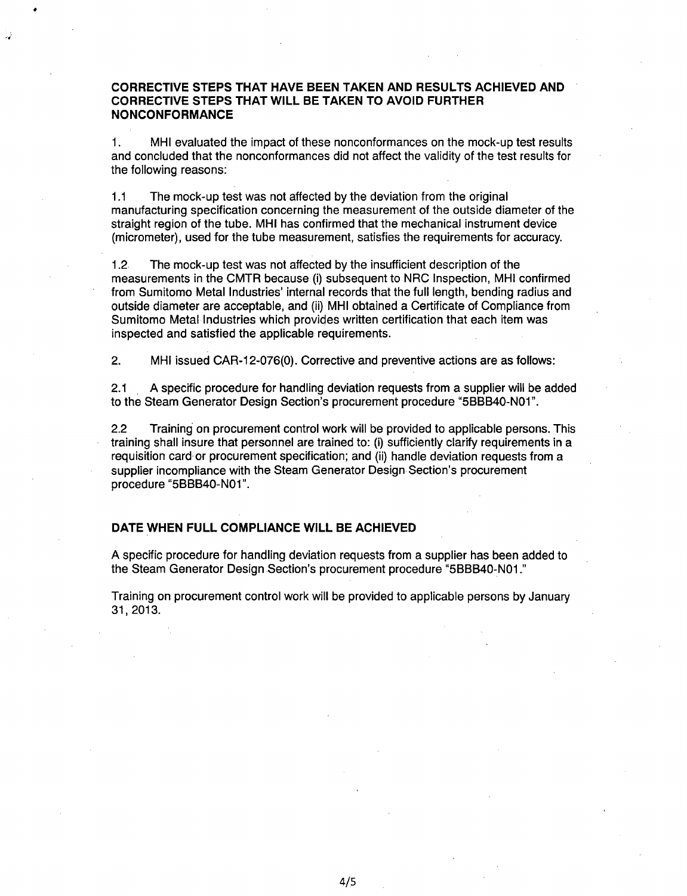# CORRECTIVE **STEPS** THAT **HAVE BEEN TAKEN AND RESULTS ACHIEVED AND** CORRECTIVE **STEPS** THAT WILL BE **TAKEN** TO **AVOID** FURTHER **NONCONFORMANCE**

1. MHI evaluated the impact of these nonconformances on the mock-up test results and concluded that the nonconformances did not affect the validity of the test results for the following reasons:

1.1 The mock-up test was not affected by the deviation from the original manufacturing specification concerning the measurement of the outside diameter of the straight region of the tube. MHI has confirmed that the mechanical instrument device (micrometer), used for the tube measurement, satisfies the requirements for accuracy.

1.2 The mock-up test was not affected by the insufficient description of the measurements in the CMTR because (i) subsequent to NRC Inspection, MHI confirmed from Sumitomo Metal Industries' internal records that the full length, bending radius and outside diameter are acceptable, and (ii) MHI obtained a Certificate of Compliance from Sumitomo Metal Industries which provides written certification that each item was inspected and satisfied the applicable requirements.

2. MHI issued CAR-1 2-076(0). Corrective and preventive actions are as follows:

2.1 A specific procedure for handling deviation requests from a supplier will be added to the Steam Generator Design Section's procurement procedure "5BBB40-N01".

2.2 Training on procurement control work will be provided to applicable persons. This training shall insure that personnel are trained to: (i) sufficiently clarify requirements in a requisition card or procurement specification; and (ii) handle deviation requests from a supplier incompliance with the Steam Generator Design Section's procurement procedure "5BBB40-N01".

## **DATE WHEN FULL COMPLIANCE** WILL BE **ACHIEVED**

A specific procedure for handling deviation requests from a supplier has been added to the Steam Generator Design Section's procurement procedure "5BBB40-N01."

Training on procurement control work will be provided to applicable persons by January 31,2013.